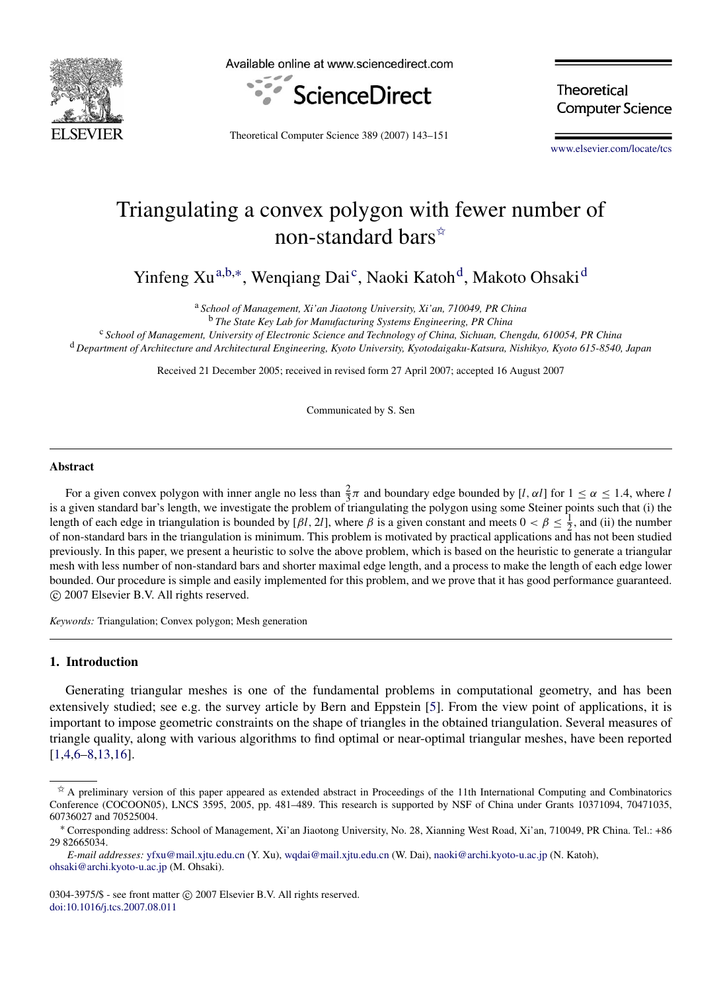

Available online at www.sciencedirect.com



**Theoretical Computer Science** 

Theoretical Computer Science 389 (2007) 143–151

[www.elsevier.com/locate/tcs](http://www.elsevier.com/locate/tcs)

# Triangulating a convex polygon with fewer number of non-standard bars<sup>☆</sup>

Yinfeng Xu<sup>[a,](#page-0-1)[b,](#page-0-2)[∗](#page-0-3)</sup>, Wenqiang Dai<sup>[c](#page-0-4)</sup>, Naoki Katoh<sup>[d](#page-0-5)</sup>, Makoto Ohsaki<sup>d</sup>

<span id="page-0-1"></span><sup>a</sup> *School of Management, Xi'an Jiaotong University, Xi'an, 710049, PR China*

<span id="page-0-2"></span><sup>b</sup> *The State Key Lab for Manufacturing Systems Engineering, PR China*

<span id="page-0-5"></span><span id="page-0-4"></span><sup>c</sup> *School of Management, University of Electronic Science and Technology of China, Sichuan, Chengdu, 610054, PR China* <sup>d</sup> *Department of Architecture and Architectural Engineering, Kyoto University, Kyotodaigaku-Katsura, Nishikyo, Kyoto 615-8540, Japan*

Received 21 December 2005; received in revised form 27 April 2007; accepted 16 August 2007

Communicated by S. Sen

#### Abstract

For a given convex polygon with inner angle no less than  $\frac{2}{3}\pi$  and boundary edge bounded by [*l*,  $\alpha$ *l*] for  $1 \le \alpha \le 1.4$ , where *l* is a given standard bar's length, we investigate the problem of triangulating the polygon using some Steiner points such that (i) the length of each edge in triangulation is bounded by [ $\beta l$ , 2l], where  $\beta$  is a given constant and meets  $0 < \beta \leq \frac{1}{2}$ , and (ii) the number of non-standard bars in the triangulation is minimum. This problem is motivated by practical applications and has not been studied previously. In this paper, we present a heuristic to solve the above problem, which is based on the heuristic to generate a triangular mesh with less number of non-standard bars and shorter maximal edge length, and a process to make the length of each edge lower bounded. Our procedure is simple and easily implemented for this problem, and we prove that it has good performance guaranteed. c 2007 Elsevier B.V. All rights reserved.

*Keywords:* Triangulation; Convex polygon; Mesh generation

## <span id="page-0-6"></span>1. Introduction

Generating triangular meshes is one of the fundamental problems in computational geometry, and has been extensively studied; see e.g. the survey article by Bern and Eppstein [\[5\]](#page-8-0). From the view point of applications, it is important to impose geometric constraints on the shape of triangles in the obtained triangulation. Several measures of triangle quality, along with various algorithms to find optimal or near-optimal triangular meshes, have been reported [\[1](#page-8-1)[,4](#page-8-2)[,6](#page-8-3)[–8](#page-8-4)[,13](#page-8-5)[,16\]](#page-8-6).

0304-3975/\$ - see front matter © 2007 Elsevier B.V. All rights reserved. [doi:10.1016/j.tcs.2007.08.011](http://dx.doi.org/10.1016/j.tcs.2007.08.011)

<span id="page-0-0"></span> $\hat{X}$  A preliminary version of this paper appeared as extended abstract in Proceedings of the 11th International Computing and Combinatorics Conference (COCOON05), LNCS 3595, 2005, pp. 481–489. This research is supported by NSF of China under Grants 10371094, 70471035, 60736027 and 70525004.

<span id="page-0-3"></span><sup>∗</sup> Corresponding address: School of Management, Xi'an Jiaotong University, No. 28, Xianning West Road, Xi'an, 710049, PR China. Tel.: +86 29 82665034.

*E-mail addresses:* [yfxu@mail.xjtu.edu.cn](mailto:yfxu@mail.xjtu.edu.cn) (Y. Xu), [wqdai@mail.xjtu.edu.cn](mailto:wqdai@mail.xjtu.edu.cn) (W. Dai), [naoki@archi.kyoto-u.ac.jp](mailto:naoki@archi.kyoto-u.ac.jp) (N. Katoh), [ohsaki@archi.kyoto-u.ac.jp](mailto:ohsaki@archi.kyoto-u.ac.jp) (M. Ohsaki).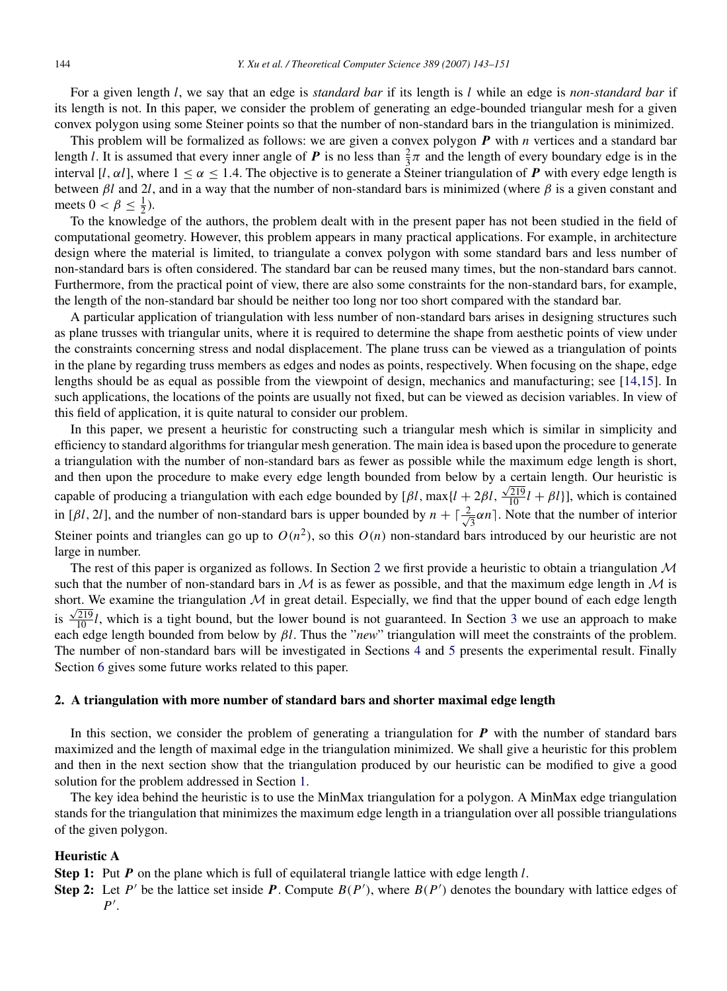For a given length *l*, we say that an edge is *standard bar* if its length is *l* while an edge is *non-standard bar* if its length is not. In this paper, we consider the problem of generating an edge-bounded triangular mesh for a given convex polygon using some Steiner points so that the number of non-standard bars in the triangulation is minimized.

This problem will be formalized as follows: we are given a convex polygon *P* with *n* vertices and a standard bar length *l*. It is assumed that every inner angle of *P* is no less than  $\frac{2}{3}\pi$  and the length of every boundary edge is in the interval [*l*,  $\alpha$ *l*], where  $1 \le \alpha \le 1.4$ . The objective is to generate a Steiner triangulation of **P** with every edge length is between  $\beta l$  and 2*l*, and in a way that the number of non-standard bars is minimized (where  $\beta$  is a given constant and meets  $0 < \beta \leq \frac{1}{2}$ ).

To the knowledge of the authors, the problem dealt with in the present paper has not been studied in the field of computational geometry. However, this problem appears in many practical applications. For example, in architecture design where the material is limited, to triangulate a convex polygon with some standard bars and less number of non-standard bars is often considered. The standard bar can be reused many times, but the non-standard bars cannot. Furthermore, from the practical point of view, there are also some constraints for the non-standard bars, for example, the length of the non-standard bar should be neither too long nor too short compared with the standard bar.

A particular application of triangulation with less number of non-standard bars arises in designing structures such as plane trusses with triangular units, where it is required to determine the shape from aesthetic points of view under the constraints concerning stress and nodal displacement. The plane truss can be viewed as a triangulation of points in the plane by regarding truss members as edges and nodes as points, respectively. When focusing on the shape, edge lengths should be as equal as possible from the viewpoint of design, mechanics and manufacturing; see [\[14](#page-8-7)[,15\]](#page-8-8). In such applications, the locations of the points are usually not fixed, but can be viewed as decision variables. In view of this field of application, it is quite natural to consider our problem.

In this paper, we present a heuristic for constructing such a triangular mesh which is similar in simplicity and efficiency to standard algorithms for triangular mesh generation. The main idea is based upon the procedure to generate a triangulation with the number of non-standard bars as fewer as possible while the maximum edge length is short, and then upon the procedure to make every edge length bounded from below by a certain length. Our heuristic is capable of producing a triangulation with each edge bounded by  $[\beta l, \max\{l + 2\beta l, \frac{\sqrt{219}}{10}l + \beta l\}]$ , which is contained in [ $\beta l$ , 2*l*], and the number of non-standard bars is upper bounded by  $n + \lceil \frac{2}{\beta} \rceil$  $\frac{1}{3} \alpha n$ . Note that the number of interior Steiner points and triangles can go up to  $O(n^2)$ , so this  $O(n)$  non-standard bars introduced by our heuristic are not large in number.

The rest of this paper is organized as follows. In Section [2](#page-1-0) we first provide a heuristic to obtain a triangulation  $\mathcal M$ such that the number of non-standard bars in M is as fewer as possible, and that the maximum edge length in M is short. We examine the triangulation  $M$  in great detail. Especially, we find that the upper bound of each edge length is  $\frac{\sqrt{219}}{10}l$ , which is a tight bound, but the lower bound is not guaranteed. In Section [3](#page-5-0) we use an approach to make each edge length bounded from below by β*l*. Thus the "*new*" triangulation will meet the constraints of the problem. The number of non-standard bars will be investigated in Sections [4](#page-6-0) and [5](#page-7-0) presents the experimental result. Finally Section [6](#page-7-1) gives some future works related to this paper.

## <span id="page-1-0"></span>2. A triangulation with more number of standard bars and shorter maximal edge length

In this section, we consider the problem of generating a triangulation for  $P$  with the number of standard bars maximized and the length of maximal edge in the triangulation minimized. We shall give a heuristic for this problem and then in the next section show that the triangulation produced by our heuristic can be modified to give a good solution for the problem addressed in Section [1.](#page-0-6)

The key idea behind the heuristic is to use the MinMax triangulation for a polygon. A MinMax edge triangulation stands for the triangulation that minimizes the maximum edge length in a triangulation over all possible triangulations of the given polygon.

## Heuristic A

Step 1: Put *P* on the plane which is full of equilateral triangle lattice with edge length *l*.

Step 2: Let  $P'$  be the lattice set inside  $P$ . Compute  $B(P')$ , where  $B(P')$  denotes the boundary with lattice edges of *P*<sup>'</sup>.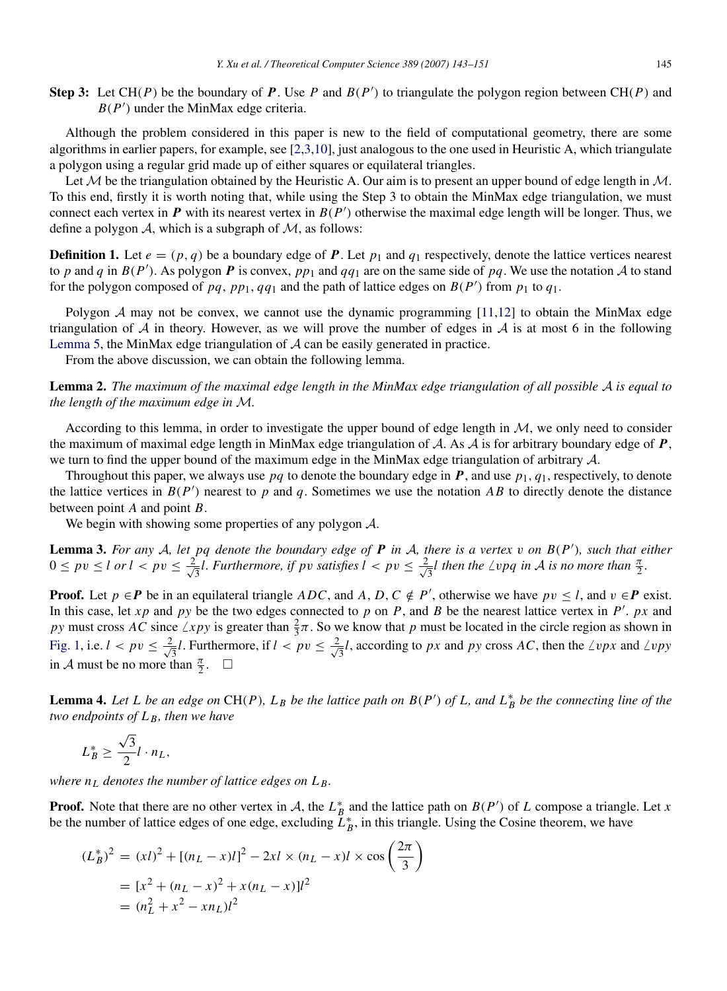Step 3: Let  $CH(P)$  be the boundary of P. Use P and  $B(P')$  to triangulate the polygon region between  $CH(P)$  and  $B(P')$  under the MinMax edge criteria.

Although the problem considered in this paper is new to the field of computational geometry, there are some algorithms in earlier papers, for example, see [\[2](#page-8-9)[,3](#page-8-10)[,10\]](#page-8-11), just analogous to the one used in Heuristic A, which triangulate a polygon using a regular grid made up of either squares or equilateral triangles.

Let M be the triangulation obtained by the Heuristic A. Our aim is to present an upper bound of edge length in  $M$ . To this end, firstly it is worth noting that, while using the Step 3 to obtain the MinMax edge triangulation, we must connect each vertex in  $P$  with its nearest vertex in  $B(P')$  otherwise the maximal edge length will be longer. Thus, we define a polygon  $A$ , which is a subgraph of  $M$ , as follows:

**Definition 1.** Let  $e = (p, q)$  be a boundary edge of **P**. Let  $p_1$  and  $q_1$  respectively, denote the lattice vertices nearest to *p* and *q* in  $B(P')$ . As polygon *P* is convex,  $pp_1$  and  $qq_1$  are on the same side of  $pq$ . We use the notation A to stand for the polygon composed of *pq*, *pp*<sub>1</sub>, *qq*<sub>1</sub> and the path of lattice edges on  $B(P')$  from  $p_1$  to  $q_1$ .

Polygon  $A$  may not be convex, we cannot use the dynamic programming [\[11](#page-8-12)[,12\]](#page-8-13) to obtain the MinMax edge triangulation of  $A$  in theory. However, as we will prove the number of edges in  $A$  is at most 6 in the following [Lemma](#page-3-0) [5,](#page-3-0) the MinMax edge triangulation of  $\mathcal A$  can be easily generated in practice.

From the above discussion, we can obtain the following lemma.

<span id="page-2-2"></span>Lemma 2. *The maximum of the maximal edge length in the MinMax edge triangulation of all possible* A *is equal to the length of the maximum edge in* M*.*

According to this lemma, in order to investigate the upper bound of edge length in M, we only need to consider the maximum of maximal edge length in MinMax edge triangulation of A. As A is for arbitrary boundary edge of *P*, we turn to find the upper bound of the maximum edge in the MinMax edge triangulation of arbitrary A.

Throughout this paper, we always use  $pq$  to denote the boundary edge in  $\bm{P}$ , and use  $p_1$ ,  $q_1$ , respectively, to denote the lattice vertices in  $B(P')$  nearest to  $p$  and  $q$ . Sometimes we use the notation  $AB$  to directly denote the distance between point *A* and point *B*.

We begin with showing some properties of any polygon A.

<span id="page-2-0"></span>Lemma 3. *For any* A*, let pq denote the boundary edge of P in* A*, there is a vertex* v *on B*(*P* 0 )*, such that either*  $0 \le pv \le l$  or  $l < pv \le \frac{2}{l}$  $\frac{1}{3}$ *l. Furthermore, if pv satisfies l* < *pv*  $\leq \frac{2}{\sqrt{3}}$  $\frac{1}{3}$ *l* then the  $\angle$ *vpq in*  $\overline{\mathcal{A}}$  *is no more than*  $\frac{\pi}{2}$ *.* 

**Proof.** Let  $p \in P$  be in an equilateral triangle  $ADC$ , and  $A, D, C \notin P'$ , otherwise we have  $pv \leq l$ , and  $v \in P$  exist. In this case, let  $xp$  and  $py$  be the two edges connected to  $p$  on  $P$ , and  $B$  be the nearest lattice vertex in  $P'$ .  $px$  and *py* must cross *AC* since  $\angle xpy$  is greater than  $\frac{2}{3}\pi$ . So we know that *p* must be located in the circle region as shown in [Fig.](#page-3-1) [1,](#page-3-1) i.e.  $l < pv \leq \frac{2}{l}$  $\frac{2}{3}l$ . Furthermore, if  $l < pv \leq \frac{2}{\sqrt{l}}$  $\frac{1}{3}l$ , according to *px* and *py* cross *AC*, then the  $\angle vpx$  and  $\angle vpy$ in A must be no more than  $\frac{\pi}{2}$ .  $\Box$ 

<span id="page-2-1"></span>**Lemma 4.** Let L be an edge on CH(P),  $L_B$  be the lattice path on  $B(P')$  of L, and  $L_B^*$  be the connecting line of the *two endpoints of L <sup>B</sup>, then we have*

$$
L_B^* \ge \frac{\sqrt{3}}{2}l \cdot n_L,
$$

*where*  $n<sub>L</sub>$  *denotes the number of lattice edges on*  $L<sub>B</sub>$ *.* 

**Proof.** Note that there are no other vertex in A, the  $L_B^*$  and the lattice path on  $B(P')$  of L compose a triangle. Let x be the number of lattice edges of one edge, excluding  $\tilde{L}_B^*$ , in this triangle. Using the Cosine theorem, we have

$$
(L_B^*)^2 = (xl)^2 + [(n_L - x)l]^2 - 2xl \times (n_L - x)l \times \cos\left(\frac{2\pi}{3}\right)
$$
  
=  $[x^2 + (n_L - x)^2 + x(n_L - x)]l^2$   
=  $(n_L^2 + x^2 - xn_L)l^2$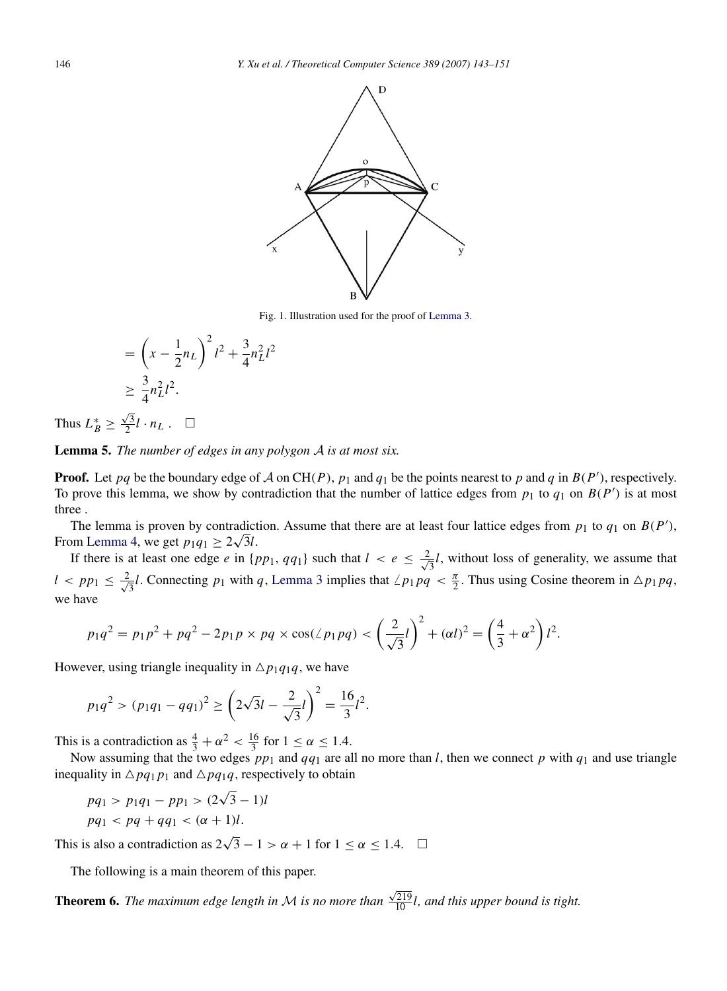<span id="page-3-1"></span>

Fig. 1. Illustration used for the proof of [Lemma](#page-2-0) [3.](#page-2-0)

$$
= \left(x - \frac{1}{2}n_L\right)^2 l^2 + \frac{3}{4}n_L^2 l^2
$$
  
 
$$
\geq \frac{3}{4}n_L^2 l^2.
$$

Thus  $L_B^* \geq$  $\frac{\sqrt{3}}{2}l \cdot n_L$ .  $\Box$ 

<span id="page-3-0"></span>**Lemma 5.** The number of edges in any polygon 
$$
A
$$
 is at most six.

**Proof.** Let *pq* be the boundary edge of A on CH(P),  $p_1$  and  $q_1$  be the points nearest to p and q in  $B(P')$ , respectively. To prove this lemma, we show by contradiction that the number of lattice edges from  $p_1$  to  $q_1$  on  $B(P')$  is at most three .

The lemma is proven by contradiction. Assume that there are at least four lattice edges from  $p_1$  to  $q_1$  on  $B(P')$ , From [Lemma](#page-2-1) [4,](#page-2-1) we get  $p_1q_1 \geq 2\sqrt{3}l$ .

If there is at least one edge *e* in  $\{pp_1, qq_1\}$  such that  $l < e \leq \frac{2}{\sqrt{l}}$  $\frac{1}{3}l$ , without loss of generality, we assume that  $l < pp_1 \leq \frac{2}{l}$  $\frac{1}{3}l$  $\frac{1}{3}l$  $\frac{1}{3}l$ . Connecting  $p_1$  with  $q$ , [Lemma](#page-2-0) 3 implies that  $\angle p_1pq < \frac{\pi}{2}$ . Thus using Cosine theorem in  $\triangle p_1pq$ , we have

$$
p_1q^2 = p_1p^2 + pq^2 - 2p_1p \times pq \times \cos(\angle p_1pq) < \left(\frac{2}{\sqrt{3}}l\right)^2 + (\alpha l)^2 = \left(\frac{4}{3} + \alpha^2\right)l^2.
$$

However, using triangle inequality in  $\Delta p_1 q_1 q$ , we have

$$
p_1q^2 > (p_1q_1 - qq_1)^2 \ge \left(2\sqrt{3}l - \frac{2}{\sqrt{3}}l\right)^2 = \frac{16}{3}l^2.
$$

This is a contradiction as  $\frac{4}{3} + \alpha^2 < \frac{16}{3}$  for  $1 \le \alpha \le 1.4$ .

Now assuming that the two edges  $pp_1$  and  $qq_1$  are all no more than *l*, then we connect p with  $q_1$  and use triangle inequality in  $\Delta pq_1 p_1$  and  $\Delta pq_1 q$ , respectively to obtain

<span id="page-3-2"></span>*pq*<sup>1</sup> > *p*1*q*<sup>1</sup> − *pp*<sup>1</sup> > (2 √  $(3 - 1)l$  $pq_1 < pq + qq_1 < (\alpha + 1)l$ .

This is also a contradiction as  $2\sqrt{3} - 1 > \alpha + 1$  for  $1 \le \alpha \le 1.4$ .  $\Box$ 

The following is a main theorem of this paper.

Theorem 6. *The maximum edge length in* M *is no more than*  $\frac{\sqrt{219}}{10}$ *l*, and this upper bound is tight.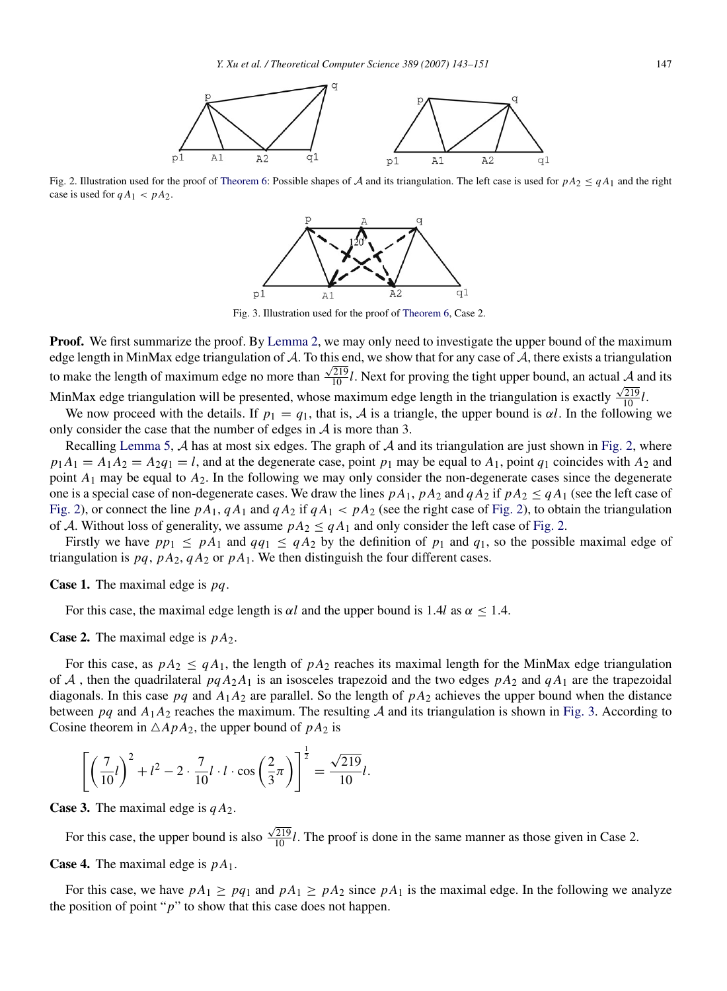

<span id="page-4-1"></span><span id="page-4-0"></span>Fig. 2. Illustration used for the proof of [Theorem](#page-3-2) [6:](#page-3-2) Possible shapes of A and its triangulation. The left case is used for  $pA_2 \leq qA_1$  and the right case is used for  $qA_1 < pA_2$ .



Fig. 3. Illustration used for the proof of [Theorem](#page-3-2) [6,](#page-3-2) Case 2.

**Proof.** We first summarize the proof. By [Lemma](#page-2-2) [2,](#page-2-2) we may only need to investigate the upper bound of the maximum edge length in MinMax edge triangulation of A. To this end, we show that for any case of A, there exists a triangulation to make the length of maximum edge no more than  $\frac{\sqrt{219}}{10}l$ . Next for proving the tight upper bound, an actual A and its MinMax edge triangulation will be presented, whose maximum edge length in the triangulation is exactly  $\frac{\sqrt{219}}{10}l$ .

We now proceed with the details. If  $p_1 = q_1$ , that is, A is a triangle, the upper bound is  $\alpha l$ . In the following we only consider the case that the number of edges in  $A$  is more than 3.

Recalling [Lemma](#page-3-0) [5,](#page-3-0)  $\mathcal A$  has at most six edges. The graph of  $\mathcal A$  and its triangulation are just shown in [Fig.](#page-4-0) [2,](#page-4-0) where  $p_1A_1 = A_1A_2 = A_2q_1 = l$ , and at the degenerate case, point  $p_1$  may be equal to  $A_1$ , point  $q_1$  coincides with  $A_2$  and point  $A_1$  may be equal to  $A_2$ . In the following we may only consider the non-degenerate cases since the degenerate one is a special case of non-degenerate cases. We draw the lines  $pA_1$ ,  $pA_2$  and  $qA_2$  if  $pA_2 \leq qA_1$  (see the left case of [Fig.](#page-4-0) [2\)](#page-4-0), or connect the line  $pA_1$ ,  $qA_1$  and  $qA_2$  if  $qA_1 < pA_2$  (see the right case of Fig. 2), to obtain the triangulation of A. Without loss of generality, we assume  $pA_2 \le qA_1$  and only consider the left case of [Fig.](#page-4-0) [2.](#page-4-0)

Firstly we have  $pp_1 \leq pA_1$  and  $qq_1 \leq qA_2$  by the definition of  $p_1$  and  $q_1$ , so the possible maximal edge of triangulation is  $pq$ ,  $pA_2$ ,  $qA_2$  or  $pA_1$ . We then distinguish the four different cases.

Case 1. The maximal edge is *pq*.

For this case, the maximal edge length is  $\alpha l$  and the upper bound is 1.4*l* as  $\alpha \leq 1.4$ .

Case 2. The maximal edge is *p A*2.

For this case, as  $pA_2 \leq qA_1$ , the length of  $pA_2$  reaches its maximal length for the MinMax edge triangulation of A, then the quadrilateral  $pqA_2A_1$  is an isosceles trapezoid and the two edges  $pA_2$  and  $qA_1$  are the trapezoidal diagonals. In this case  $pq$  and  $A_1A_2$  are parallel. So the length of  $pA_2$  achieves the upper bound when the distance between  $pq$  and  $A_1A_2$  reaches the maximum. The resulting  $A$  and its triangulation is shown in [Fig.](#page-4-1) [3.](#page-4-1) According to Cosine theorem in  $\triangle A p A_2$ , the upper bound of  $p A_2$  is

$$
\left[ \left( \frac{7}{10} l \right)^2 + l^2 - 2 \cdot \frac{7}{10} l \cdot l \cdot \cos\left( \frac{2}{3} \pi \right) \right]^{\frac{1}{2}} = \frac{\sqrt{219}}{10} l.
$$

**Case 3.** The maximal edge is  $qA_2$ .

For this case, the upper bound is also  $\frac{\sqrt{219}}{10}$ *l*. The proof is done in the same manner as those given in Case 2. Case 4. The maximal edge is *p A*1.

For this case, we have  $pA_1 \ge pq_1$  and  $pA_1 \ge pA_2$  since  $pA_1$  is the maximal edge. In the following we analyze the position of point "*p*" to show that this case does not happen.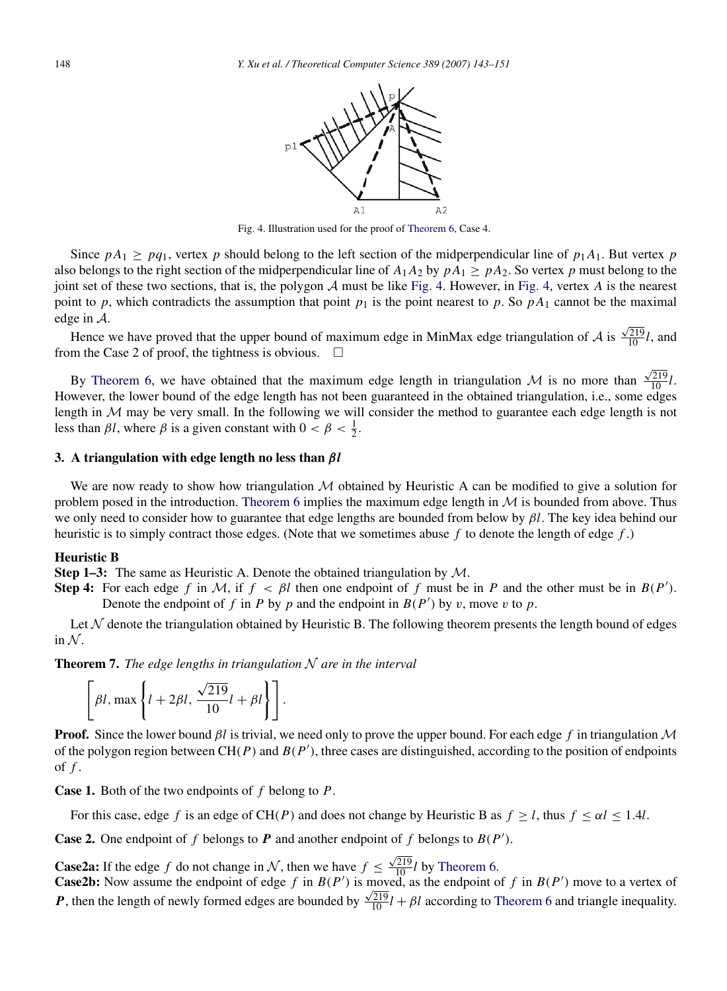

Fig. 4. Illustration used for the proof of [Theorem](#page-3-2) [6,](#page-3-2) Case 4.

<span id="page-5-1"></span>Since  $pA_1 \ge pq_1$ , vertex p should belong to the left section of the midperpendicular line of  $p_1A_1$ . But vertex p also belongs to the right section of the midperpendicular line of  $A_1A_2$  by  $pA_1 \geq pA_2$ . So vertex *p* must belong to the joint set of these two sections, that is, the polygon  $A$  must be like [Fig.](#page-5-1) [4.](#page-5-1) However, in Fig. [4,](#page-5-1) vertex  $A$  is the nearest point to *p*, which contradicts the assumption that point  $p_1$  is the point nearest to *p*. So  $pA_1$  cannot be the maximal edge in A.

Hence we have proved that the upper bound of maximum edge in MinMax edge triangulation of  $A$  is  $\frac{\sqrt{219}}{10}$ *l*, and from the Case 2 of proof, the tightness is obvious.  $\Box$ 

By [Theorem](#page-3-2) [6,](#page-3-2) we have obtained that the maximum edge length in triangulation  $\mathcal M$  is no more than  $\frac{\sqrt{219}}{10}l.$ However, the lower bound of the edge length has not been guaranteed in the obtained triangulation, i.e., some edges length in  $M$  may be very small. In the following we will consider the method to guarantee each edge length is not less than  $\beta l$ , where  $\beta$  is a given constant with  $0 < \beta < \frac{1}{2}$ .

#### <span id="page-5-0"></span>3. A triangulation with edge length no less than β*l*

We are now ready to show how triangulation  $M$  obtained by Heuristic A can be modified to give a solution for problem posed in the introduction. [Theorem](#page-3-2) [6](#page-3-2) implies the maximum edge length in  $M$  is bounded from above. Thus we only need to consider how to guarantee that edge lengths are bounded from below by β*l*. The key idea behind our heuristic is to simply contract those edges. (Note that we sometimes abuse *f* to denote the length of edge *f* .)

## Heuristic B

**Step 1–3:** The same as Heuristic A. Denote the obtained triangulation by  $M$ .

 $\ddot{\phantom{1}}$ 

Step 4: For each edge *f* in M, if  $f < \beta l$  then one endpoint of *f* must be in *P* and the other must be in  $B(P')$ . Denote the endpoint of *f* in *P* by *p* and the endpoint in  $B(P')$  by *v*, move *v* to *p*.

Let  $\mathcal N$  denote the triangulation obtained by Heuristic B. The following theorem presents the length bound of edges in  $\mathcal N$ .

<span id="page-5-2"></span>Theorem 7. *The edge lengths in triangulation* N *are in the interval*

$$
\[\beta l, \max\left\{l+2\beta l, \frac{\sqrt{219}}{10}l + \beta l\right\} \].
$$

Proof. Since the lower bound β*l* is trivial, we need only to prove the upper bound. For each edge *f* in triangulation M of the polygon region between  $CH(P)$  and  $B(P')$ , three cases are distinguished, according to the position of endpoints of *f* .

Case 1. Both of the two endpoints of *f* belong to *P*.

For this case, edge *f* is an edge of CH(*P*) and does not change by Heuristic B as  $f \ge l$ , thus  $f \le \alpha l \le 1.4l$ .

**Case 2.** One endpoint of  $f$  belongs to  $P$  and another endpoint of  $f$  belongs to  $B(P')$ .

**Case2a:** If the edge *f* do not change in  $N$ , then we have  $f \leq$  $\frac{\sqrt{219}}{10}$ *l* by [Theorem](#page-3-2) [6.](#page-3-2)

**Case2b:** Now assume the endpoint of edge  $f$  in  $B(P')$  is moved, as the endpoint of  $f$  in  $B(P')$  move to a vertex of *P*, then the length of newly formed edges are bounded by  $\frac{\sqrt{219}}{10}$ *l* + *βl* according to [Theorem](#page-3-2) [6](#page-3-2) and triangle inequality.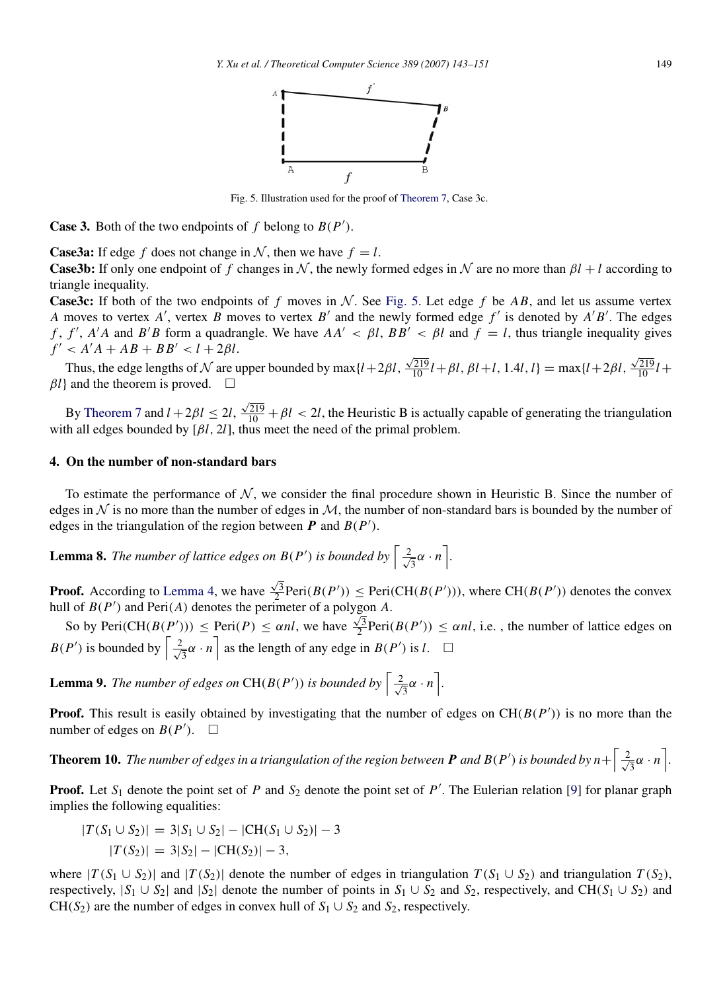

Fig. 5. Illustration used for the proof of [Theorem](#page-5-2) [7,](#page-5-2) Case 3c.

<span id="page-6-1"></span>**Case 3.** Both of the two endpoints of  $f$  belong to  $B(P')$ .

**Case3a:** If edge *f* does not change in N, then we have  $f = l$ .

**Case3b:** If only one endpoint of f changes in N, the newly formed edges in N are no more than  $\beta l + l$  according to triangle inequality.

**Case3c:** If both of the two endpoints of f moves in N. See [Fig.](#page-6-1) [5.](#page-6-1) Let edge f be AB, and let us assume vertex *A* moves to vertex *A*<sup>'</sup>, vertex *B* moves to vertex *B*<sup>'</sup> and the newly formed edge *f*<sup>'</sup> is denoted by *A*<sup>'</sup>*B*<sup>'</sup>. The edges *f*, *f'*, *A'A* and *B'B* form a quadrangle. We have  $AA' < \beta l$ ,  $BB' < \beta l$  and  $f = l$ , thus triangle inequality gives  $f' < A'A + AB + BB' < l + 2\beta l$ .

Thus, the edge lengths of  $N$  are upper bounded by max ${l+2\beta l}$ ,  $\frac{\sqrt{219}}{10}$ *l* + β*l*, β*l* + *l*, 1.4*l*, *l*} = max{*l* + 2β*l*,  $\frac{\sqrt{219}}{10}l +$  $\beta l$ } and the theorem is proved.  $\square$ 

By [Theorem](#page-5-2) [7](#page-5-2) and  $l + 2\beta l \leq 2l$ ,  $\frac{\sqrt{219}}{10} + \beta l < 2l$ , the Heuristic B is actually capable of generating the triangulation with all edges bounded by  $[\beta l, 2l]$ , thus meet the need of the primal problem.

## <span id="page-6-0"></span>4. On the number of non-standard bars

To estimate the performance of  $N$ , we consider the final procedure shown in Heuristic B. Since the number of edges in  $\mathcal N$  is no more than the number of edges in  $\mathcal M$ , the number of non-standard bars is bounded by the number of edges in the triangulation of the region between  $P$  and  $B(P')$ .

**Lemma 8.** The number of lattice edges on  $B(P')$  is bounded by  $\left[\frac{2}{\sqrt{p}}\right]$  $\frac{2}{3}\alpha \cdot n$ .

Proof. According to [Lemma](#page-2-1) [4,](#page-2-1) we have  $\frac{\sqrt{3}}{2}$ Peri $(B(P')) \leq$  Peri $(CH(B(P')))$ , where CH $(B(P'))$  denotes the convex hull of  $B(P')$  and Peri(*A*) denotes the perimeter of a polygon *A*.

So by Peri( $CH(B(P'))$ )  $\leq$  Peri(*P*)  $\leq \alpha n l$ , we have  $\frac{\sqrt{3}}{2}$ Peri( $B(P')$ )  $\leq \alpha n l$ , i.e., the number of lattice edges on  $B(P')$  is bounded by  $\left\lceil \frac{2}{\sqrt{2}} \right\rceil$  $\left[\frac{1}{3}\alpha \cdot n\right]$  as the length of any edge in  $B(P')$  is *l*.  $\square$ 

<span id="page-6-2"></span>**Lemma 9.** The number of edges on  $CH(B(P'))$  is bounded by  $\left[\frac{2}{\sqrt{p}}\right]$  $\frac{1}{3}\alpha \cdot n$ .

**Proof.** This result is easily obtained by investigating that the number of edges on  $CH(B(P'))$  is no more than the number of edges on  $B(P')$ .  $\Box$ 

**Theorem 10.** The number of edges in a triangulation of the region between **P** and  $B(P')$  is bounded by  $n + \frac{2}{\sqrt{p}}$  $\frac{2}{3}\alpha \cdot n$ .

**Proof.** Let  $S_1$  denote the point set of P and  $S_2$  denote the point set of P'. The Eulerian relation [\[9\]](#page-8-14) for planar graph implies the following equalities:

$$
|T(S_1 \cup S_2)| = 3|S_1 \cup S_2| - |CH(S_1 \cup S_2)| - 3
$$
  

$$
|T(S_2)| = 3|S_2| - |CH(S_2)| - 3,
$$

where  $|T(S_1 \cup S_2)|$  and  $|T(S_2)|$  denote the number of edges in triangulation  $T(S_1 \cup S_2)$  and triangulation  $T(S_2)$ , respectively,  $|S_1 \cup S_2|$  and  $|S_2|$  denote the number of points in  $S_1 \cup S_2$  and  $S_2$ , respectively, and CH( $S_1 \cup S_2$ ) and CH( $S_2$ ) are the number of edges in convex hull of  $S_1 \cup S_2$  and  $S_2$ , respectively.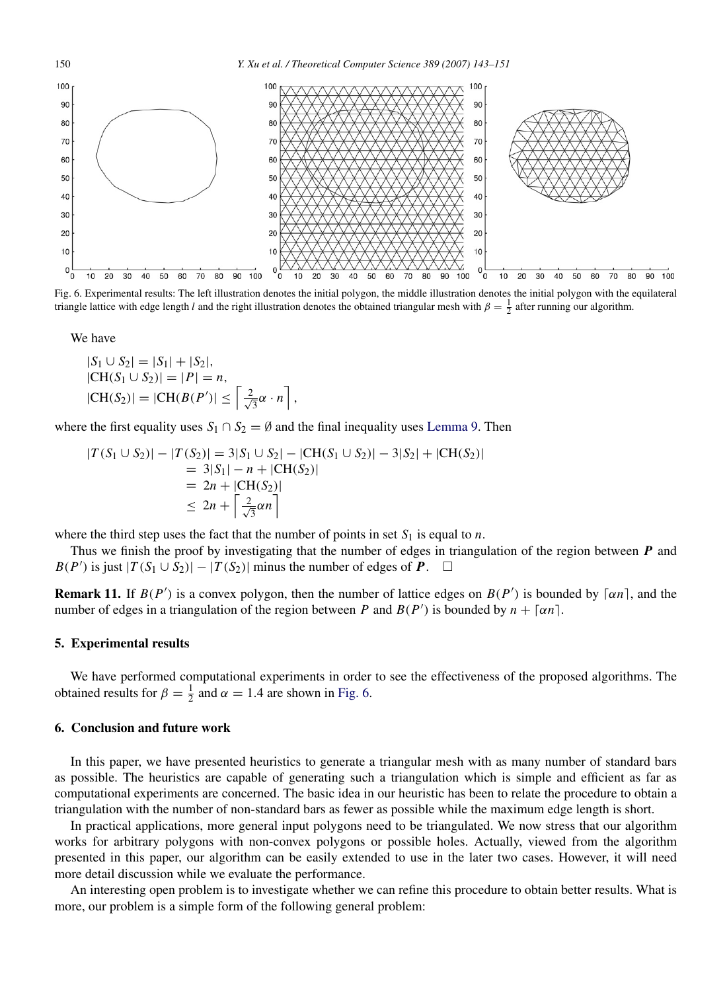<span id="page-7-2"></span>

Fig. 6. Experimental results: The left illustration denotes the initial polygon, the middle illustration denotes the initial polygon with the equilateral triangle lattice with edge length *l* and the right illustration denotes the obtained triangular mesh with  $\beta = \frac{1}{2}$  after running our algorithm.

We have

$$
|S_1 \cup S_2| = |S_1| + |S_2|,
$$
  
\n|CH(S<sub>1</sub> \cup S<sub>2</sub>)| = |P| = n,  
\n|CH(S<sub>2</sub>)| = |CH(B(P<sup>'</sup>)|  $\leq \left\lceil \frac{2}{\sqrt{3}} \alpha \cdot n \right\rceil$ ,

where the first equality uses  $S_1 \cap S_2 = \emptyset$  and the final inequality uses [Lemma](#page-6-2) [9.](#page-6-2) Then

$$
|T(S_1 \cup S_2)| - |T(S_2)| = 3|S_1 \cup S_2| - |CH(S_1 \cup S_2)| - 3|S_2| + |CH(S_2)|
$$
  
= 3|S\_1| - n + |CH(S\_2)|  
= 2n + |CH(S\_2)|  

$$
\leq 2n + \left\lceil \frac{2}{\sqrt{3}} \alpha n \right\rceil
$$

where the third step uses the fact that the number of points in set  $S_1$  is equal to *n*.

Thus we finish the proof by investigating that the number of edges in triangulation of the region between *P* and *B*(*P*<sup> $\prime$ </sup>) is just  $|T(S_1 \cup S_2)| - |T(S_2)|$  minus the number of edges of *P*. □

**Remark 11.** If  $B(P')$  is a convex polygon, then the number of lattice edges on  $B(P')$  is bounded by  $\lceil \alpha n \rceil$ , and the number of edges in a triangulation of the region between *P* and  $B(P')$  is bounded by  $n + \lceil \alpha n \rceil$ .

#### <span id="page-7-0"></span>5. Experimental results

We have performed computational experiments in order to see the effectiveness of the proposed algorithms. The obtained results for  $\beta = \frac{1}{2}$  and  $\alpha = 1.4$  are shown in [Fig.](#page-7-2) [6.](#page-7-2)

## <span id="page-7-1"></span>6. Conclusion and future work

In this paper, we have presented heuristics to generate a triangular mesh with as many number of standard bars as possible. The heuristics are capable of generating such a triangulation which is simple and efficient as far as computational experiments are concerned. The basic idea in our heuristic has been to relate the procedure to obtain a triangulation with the number of non-standard bars as fewer as possible while the maximum edge length is short.

In practical applications, more general input polygons need to be triangulated. We now stress that our algorithm works for arbitrary polygons with non-convex polygons or possible holes. Actually, viewed from the algorithm presented in this paper, our algorithm can be easily extended to use in the later two cases. However, it will need more detail discussion while we evaluate the performance.

An interesting open problem is to investigate whether we can refine this procedure to obtain better results. What is more, our problem is a simple form of the following general problem: